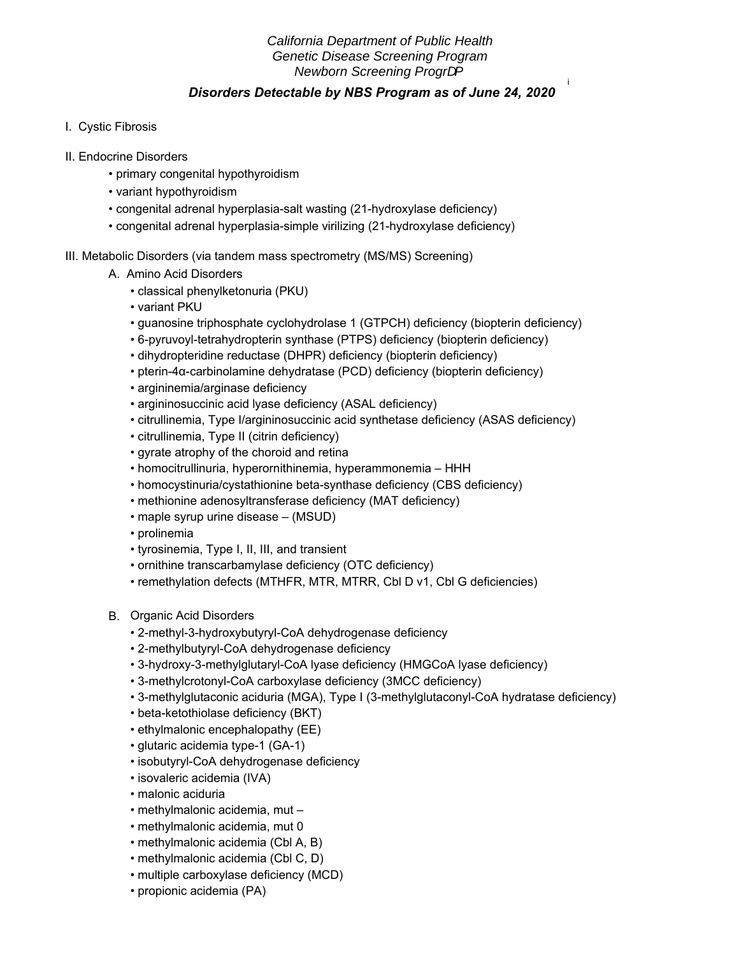# *California Department of Public Health Genetic Disease Screening Program* **Newborn Screening Prograf**

i

## *Disorders Detectable by NBS Program as of June 24, 2020*

- I. Cystic Fibrosis
- II. Endocrine Disorders
	- primary congenital hypothyroidism
	- variant hypothyroidism
	- congenital adrenal hyperplasia-salt wasting (21-hydroxylase deficiency)
	- congenital adrenal hyperplasia-simple virilizing (21-hydroxylase deficiency)
- III. Metabolic Disorders (via tandem mass spectrometry (MS/MS) Screening)
	- A. Amino Acid Disorders
		- classical phenylketonuria (PKU)
		- variant PKU
		- guanosine triphosphate cyclohydrolase 1 (GTPCH) deficiency (biopterin deficiency)
		- 6-pyruvoyl-tetrahydropterin synthase (PTPS) deficiency (biopterin deficiency)
		- dihydropteridine reductase (DHPR) deficiency (biopterin deficiency)
		- pterin-4α-carbinolamine dehydratase (PCD) deficiency (biopterin deficiency)
		- argininemia/arginase deficiency
		- argininosuccinic acid lyase deficiency (ASAL deficiency)
		- citrullinemia, Type I/argininosuccinic acid synthetase deficiency (ASAS deficiency)
		- citrullinemia, Type II (citrin deficiency)
		- gyrate atrophy of the choroid and retina
		- homocitrullinuria, hyperornithinemia, hyperammonemia HHH
		- homocystinuria/cystathionine beta-synthase deficiency (CBS deficiency)
		- methionine adenosyltransferase deficiency (MAT deficiency)
		- maple syrup urine disease (MSUD)
		- prolinemia
		- tyrosinemia, Type I, II, III, and transient
		- ornithine transcarbamylase deficiency (OTC deficiency)
		- remethylation defects (MTHFR, MTR, MTRR, Cbl D v1, Cbl G deficiencies)
	- B. Organic Acid Disorders
		- 2-methyl-3-hydroxybutyryl-CoA dehydrogenase deficiency
		- 2-methylbutyryl-CoA dehydrogenase deficiency
		- 3-hydroxy-3-methylglutaryl-CoA lyase deficiency (HMGCoA lyase deficiency)
		- 3-methylcrotonyl-CoA carboxylase deficiency (3MCC deficiency)
		- 3-methylglutaconic aciduria (MGA), Type I (3-methylglutaconyl-CoA hydratase deficiency)
		- beta-ketothiolase deficiency (BKT)
		- ethylmalonic encephalopathy (EE)
		- glutaric acidemia type-1 (GA-1)
		- isobutyryl-CoA dehydrogenase deficiency
		- isovaleric acidemia (IVA)
		- malonic aciduria
		- methylmalonic acidemia, mut –
		- methylmalonic acidemia, mut 0
		- methylmalonic acidemia (Cbl A, B)
		- methylmalonic acidemia (Cbl C, D)
		- multiple carboxylase deficiency (MCD)
		- propionic acidemia (PA)